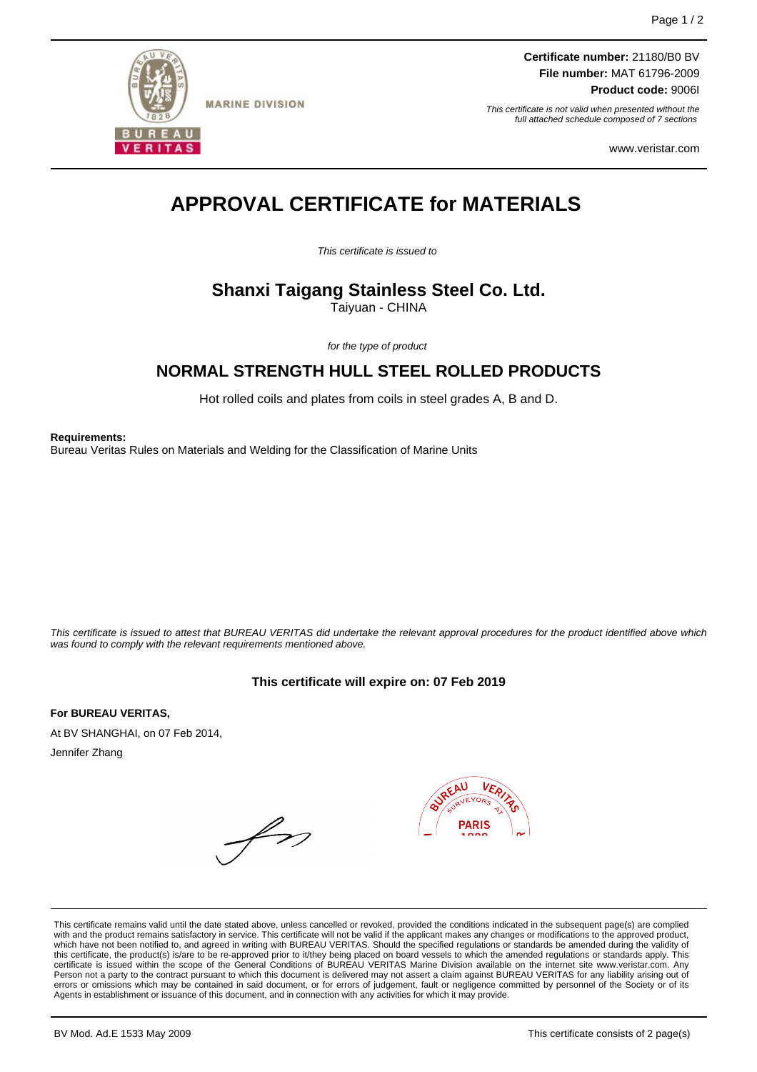

**MARINE DIVISION** 

**Certificate number:** 21180/B0 BV **File number:** MAT 61796-2009 **Product code:** 9006I

This certificate is not valid when presented without the full attached schedule composed of 7 sections

www.veristar.com

# **APPROVAL CERTIFICATE for MATERIALS**

This certificate is issued to

# **Shanxi Taigang Stainless Steel Co. Ltd.**

Taiyuan - CHINA

for the type of product

# **NORMAL STRENGTH HULL STEEL ROLLED PRODUCTS**

Hot rolled coils and plates from coils in steel grades A, B and D.

**Requirements:**

Bureau Veritas Rules on Materials and Welding for the Classification of Marine Units

This certificate is issued to attest that BUREAU VERITAS did undertake the relevant approval procedures for the product identified above which was found to comply with the relevant requirements mentioned above.

## **This certificate will expire on: 07 Feb 2019**

**For BUREAU VERITAS,** At BV SHANGHAI, on 07 Feb 2014, Jennifer Zhang



This certificate remains valid until the date stated above, unless cancelled or revoked, provided the conditions indicated in the subsequent page(s) are complied with and the product remains satisfactory in service. This certificate will not be valid if the applicant makes any changes or modifications to the approved product,<br>which have not been notified to, and agreed in writing w this certificate, the product(s) is/are to be re-approved prior to it/they being placed on board vessels to which the amended regulations or standards apply. This<br>certificate is issued within the scope of the General Condi Person not a party to the contract pursuant to which this document is delivered may not assert a claim against BUREAU VERITAS for any liability arising out of errors or omissions which may be contained in said document, or for errors of judgement, fault or negligence committed by personnel of the Society or of its Agents in establishment or issuance of this document, and in connection with any activities for which it may provide.